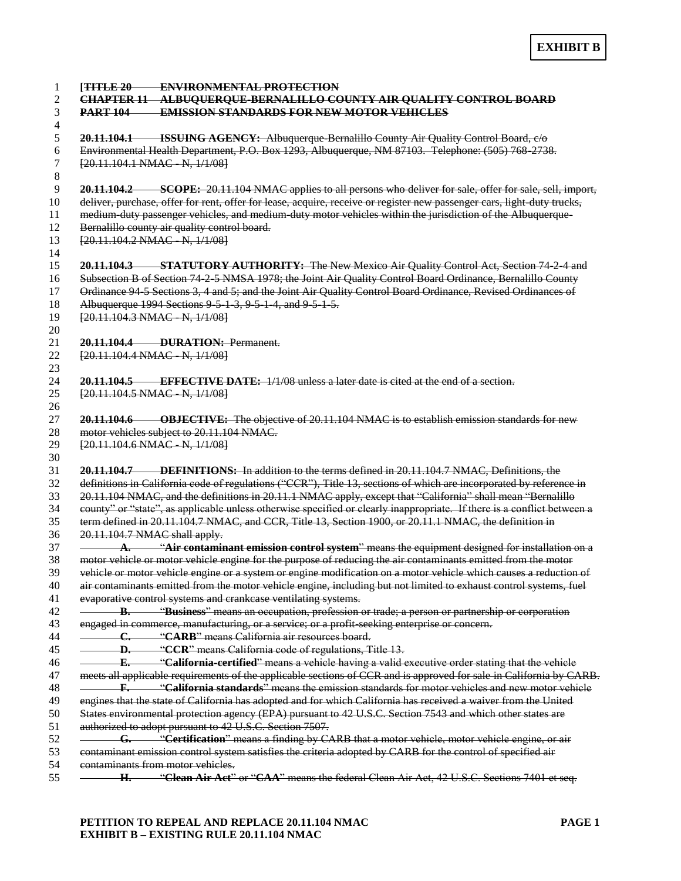| [TITLE 20 ENVIRONMENTAL PROTECTION<br>CHAPTER 11 ALBUQUERQUE-BERNALILLO COUNTY AIR QUALITY CONTROL BOARD                |
|-------------------------------------------------------------------------------------------------------------------------|
| <b>PART 104 EMISSION STANDARDS FOR NEW MOTOR VEHICLES</b>                                                               |
| 20.11.104.1 <b>ISSUING AGENCY:</b> Albuquerque-Bernalillo County Air Quality Control Board, e/o                         |
| Environmental Health Department, P.O. Box 1293, Albuquerque, NM 87103. Telephone: (505) 768-2738.                       |
| $[20.11.104.1 NMAC-N, 1/1/08]$                                                                                          |
|                                                                                                                         |
| <b>20.11.104.2</b> SCOPE: 20.11.104 NMAC applies to all persons who deliver for sale, offer for sale, sell, import,     |
| deliver, purchase, offer for rent, offer for lease, acquire, receive or register new passenger cars, light duty trucks, |
| medium-duty passenger vehicles, and medium-duty motor vehicles within the jurisdiction of the Albuquerque-              |
| Bernalillo county air quality control board.                                                                            |
| [20.11.104.2 NMAC N, 1/1/08]                                                                                            |
| 20.11.104.3 STATUTORY AUTHORITY: The New Mexico Air Quality Control Act, Section 74 2 4 and                             |
| Subsection B of Section 74 2 5 NMSA 1978; the Joint Air Quality Control Board Ordinance, Bernalillo County              |
| Ordinance 94 5 Sections 3, 4 and 5; and the Joint Air Quality Control Board Ordinance, Revised Ordinances of            |
|                                                                                                                         |
| Albuquerque 1994 Sections 9 5 1 3, 9 5 1 4, and 9 5 1 5.<br>[20.11.104.3 NMAC N, 1/1/08]                                |
|                                                                                                                         |
| 20.11.104.4 DURATION: Permanent.                                                                                        |
| [20.11.104.4 NMAC N, 1/1/08]                                                                                            |
|                                                                                                                         |
| $20.11.104.5$ EFFECTIVE DATE: $1/1/08$ unless a later date is cited at the end of a section.                            |
| [20.11.104.5 NMAC N, 1/1/08]                                                                                            |
|                                                                                                                         |
| <b>20.11.104.6</b> OBJECTIVE: The objective of 20.11.104 NMAC is to establish emission standards for new                |
| motor vehicles subject to 20.11.104 NMAC.                                                                               |
| [20.11.104.6 NMAC N, 1/1/08]                                                                                            |
|                                                                                                                         |
| 20.11.104.7 DEFINITIONS: In addition to the terms defined in 20.11.104.7 NMAC, Definitions, the                         |
| definitions in California code of regulations ("CCR"), Title 13, sections of which are incorporated by reference in     |
| 20.11.104 NMAC, and the definitions in 20.11.1 NMAC apply, except that "California" shall mean "Bernalillo              |
| county" or "state", as applicable unless otherwise specified or clearly inappropriate. If there is a conflict between a |
| term defined in 20.11.104.7 NMAC, and CCR, Title 13, Section 1900, or 20.11.1 NMAC, the definition in                   |
| 20.11.104.7 NMAC shall apply.                                                                                           |
| A. "Air contaminant emission control system" means the equipment designed for installation on a                         |
| motor vehicle or motor vehicle engine for the purpose of reducing the air contaminants emitted from the motor           |
| vehicle or motor vehicle engine or a system or engine modification on a motor vehicle which causes a reduction of       |
| air contaminants emitted from the motor vehicle engine, including but not limited to exhaust control systems, fuel      |
| evaporative control systems and crankcase ventilating systems.                                                          |
| <b>B.</b> "Business" means an occupation, profession or trade; a person or partnership or corporation                   |
| engaged in commerce, manufacturing, or a service; or a profit seeking enterprise or concern.                            |
| C. "CARB" means California air resources board.                                                                         |
| - D. "CCR" means California code of regulations, Title 13.                                                              |
| <b>E.</b> "California-certified" means a vehicle having a valid executive order stating that the vehicle                |
| meets all applicable requirements of the applicable sections of CCR and is approved for sale in California by CARB.     |
| F. "California standards" means the emission standards for motor vehicles and new motor vehicle                         |
| engines that the state of California has adopted and for which California has received a waiver from the United         |
| States environmental protection agency (EPA) pursuant to 42 U.S.C. Section 7543 and which other states are              |
| authorized to adopt pursuant to 42 U.S.C. Section 7507.                                                                 |
| <b>G.</b> "Certification" means a finding by CARB that a motor vehicle, motor vehicle engine, or air                    |
| contaminant emission control system satisfies the criteria adopted by CARB for the control of specified air             |
| contaminants from motor vehicles.                                                                                       |
| H. "Clean Air Act" or "CAA" means the federal Clean Air Act, 42 U.S.C. Sections 7401 et seq.                            |

## **PETITION TO REPEAL AND REPLACE 20.11.104 NMAC PAGE 1 EXHIBIT B – EXISTING RULE 20.11.104 NMAC**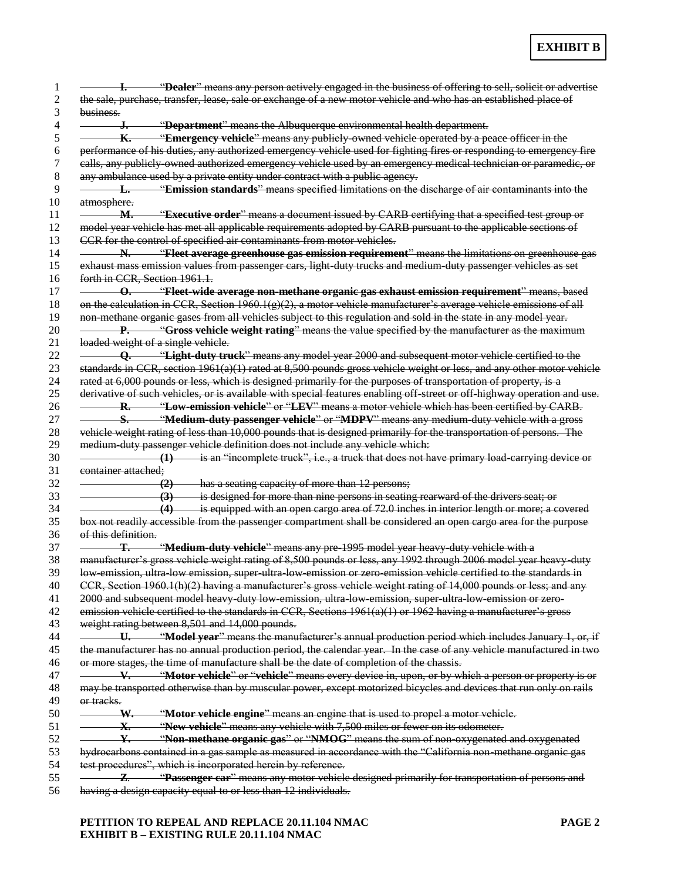|                                | <b>1.</b> "Dealer" means any person actively engaged in the business of offering to sell, solicit or advertise                                                                                                                                                                                                                                                                                                                                                                                                                                                                                                                                                                                                                  |
|--------------------------------|---------------------------------------------------------------------------------------------------------------------------------------------------------------------------------------------------------------------------------------------------------------------------------------------------------------------------------------------------------------------------------------------------------------------------------------------------------------------------------------------------------------------------------------------------------------------------------------------------------------------------------------------------------------------------------------------------------------------------------|
|                                | the sale, purchase, transfer, lease, sale or exchange of a new motor vehicle and who has an established place of                                                                                                                                                                                                                                                                                                                                                                                                                                                                                                                                                                                                                |
| business.                      |                                                                                                                                                                                                                                                                                                                                                                                                                                                                                                                                                                                                                                                                                                                                 |
|                                | J. "Department" means the Albuquerque environmental health department.                                                                                                                                                                                                                                                                                                                                                                                                                                                                                                                                                                                                                                                          |
|                                | <b>K.</b> "Emergency vehicle" means any publicly-owned vehicle operated by a peace officer in the                                                                                                                                                                                                                                                                                                                                                                                                                                                                                                                                                                                                                               |
|                                | performance of his duties, any authorized emergency vehicle used for fighting fires or responding to emergency fire                                                                                                                                                                                                                                                                                                                                                                                                                                                                                                                                                                                                             |
|                                | calls, any publicly owned authorized emergency vehicle used by an emergency medical technician or paramedic, or                                                                                                                                                                                                                                                                                                                                                                                                                                                                                                                                                                                                                 |
|                                | any ambulance used by a private entity under contract with a public agency.                                                                                                                                                                                                                                                                                                                                                                                                                                                                                                                                                                                                                                                     |
|                                | L. "Emission standards" means specified limitations on the discharge of air contaminants into the                                                                                                                                                                                                                                                                                                                                                                                                                                                                                                                                                                                                                               |
| atmosphere.                    |                                                                                                                                                                                                                                                                                                                                                                                                                                                                                                                                                                                                                                                                                                                                 |
|                                | M. "Executive order" means a document issued by CARB certifying that a specified test group or                                                                                                                                                                                                                                                                                                                                                                                                                                                                                                                                                                                                                                  |
|                                | model year vehicle has met all applicable requirements adopted by CARB pursuant to the applicable sections of                                                                                                                                                                                                                                                                                                                                                                                                                                                                                                                                                                                                                   |
|                                | CCR for the control of specified air contaminants from motor vehicles.                                                                                                                                                                                                                                                                                                                                                                                                                                                                                                                                                                                                                                                          |
|                                | N. <b>The "Filest average greenhouse gas emission requirement</b> " means the limitations on greenhouse gas                                                                                                                                                                                                                                                                                                                                                                                                                                                                                                                                                                                                                     |
|                                |                                                                                                                                                                                                                                                                                                                                                                                                                                                                                                                                                                                                                                                                                                                                 |
|                                | exhaust mass emission values from passenger cars, light duty trucks and medium duty passenger vehicles as set                                                                                                                                                                                                                                                                                                                                                                                                                                                                                                                                                                                                                   |
| forth in CCR, Section 1961.1.  |                                                                                                                                                                                                                                                                                                                                                                                                                                                                                                                                                                                                                                                                                                                                 |
|                                | <b>O.</b> "Fleet-wide average non-methane organic gas exhaust emission requirement" means, based                                                                                                                                                                                                                                                                                                                                                                                                                                                                                                                                                                                                                                |
|                                | on the calculation in CCR, Section 1960.1( $g$ )(2), a motor vehicle manufacturer's average vehicle emissions of all                                                                                                                                                                                                                                                                                                                                                                                                                                                                                                                                                                                                            |
|                                | non methane organic gases from all vehicles subject to this regulation and sold in the state in any model year.                                                                                                                                                                                                                                                                                                                                                                                                                                                                                                                                                                                                                 |
|                                | P. "Gross vehicle weight rating" means the value specified by the manufacturer as the maximum                                                                                                                                                                                                                                                                                                                                                                                                                                                                                                                                                                                                                                   |
|                                | loaded weight of a single vehicle.                                                                                                                                                                                                                                                                                                                                                                                                                                                                                                                                                                                                                                                                                              |
|                                | <b>Q.</b> "Light-duty truck" means any model year 2000 and subsequent motor vehicle certified to the                                                                                                                                                                                                                                                                                                                                                                                                                                                                                                                                                                                                                            |
|                                | standards in CCR, section $1961(a)(1)$ rated at 8,500 pounds gross vehicle weight or less, and any other motor vehicle                                                                                                                                                                                                                                                                                                                                                                                                                                                                                                                                                                                                          |
|                                | rated at 6,000 pounds or less, which is designed primarily for the purposes of transportation of property, is a                                                                                                                                                                                                                                                                                                                                                                                                                                                                                                                                                                                                                 |
|                                | derivative of such vehicles, or is available with special features enabling off street or off highway operation and use.                                                                                                                                                                                                                                                                                                                                                                                                                                                                                                                                                                                                        |
|                                | <b>R.</b> "Low-emission vehicle" or "LEV" means a motor vehicle which has been certified by CARB.                                                                                                                                                                                                                                                                                                                                                                                                                                                                                                                                                                                                                               |
|                                | S. "Medium-duty passenger vehicle" or "MDPV" means any medium duty vehicle with a gross                                                                                                                                                                                                                                                                                                                                                                                                                                                                                                                                                                                                                                         |
|                                | vehicle weight rating of less than 10,000 pounds that is designed primarily for the transportation of persons. The                                                                                                                                                                                                                                                                                                                                                                                                                                                                                                                                                                                                              |
|                                | medium duty passenger vehicle definition does not include any vehicle which:                                                                                                                                                                                                                                                                                                                                                                                                                                                                                                                                                                                                                                                    |
|                                | $(1)$ is an "incomplete truck", i.e., a truck that does not have primary load carrying device or                                                                                                                                                                                                                                                                                                                                                                                                                                                                                                                                                                                                                                |
| container attached:            |                                                                                                                                                                                                                                                                                                                                                                                                                                                                                                                                                                                                                                                                                                                                 |
|                                |                                                                                                                                                                                                                                                                                                                                                                                                                                                                                                                                                                                                                                                                                                                                 |
|                                | (2) has a seating capacity of more than 12 persons;                                                                                                                                                                                                                                                                                                                                                                                                                                                                                                                                                                                                                                                                             |
|                                | (3) is designed for more than nine persons in seating rearward of the drivers seat; or                                                                                                                                                                                                                                                                                                                                                                                                                                                                                                                                                                                                                                          |
|                                | (4) is equipped with an open cargo area of 72.0 inches in interior length or more; a covered                                                                                                                                                                                                                                                                                                                                                                                                                                                                                                                                                                                                                                    |
|                                | box not readily accessible from the passenger compartment shall be considered an open cargo area for the purpose                                                                                                                                                                                                                                                                                                                                                                                                                                                                                                                                                                                                                |
| <del>of this definition.</del> |                                                                                                                                                                                                                                                                                                                                                                                                                                                                                                                                                                                                                                                                                                                                 |
| Т.                             | "Medium-duty vehicle" means any pre-1995 model year heavy duty vehicle with a                                                                                                                                                                                                                                                                                                                                                                                                                                                                                                                                                                                                                                                   |
|                                | manufacturer's gross vehicle weight rating of 8,500 pounds or less, any 1992 through 2006 model year heavy-duty                                                                                                                                                                                                                                                                                                                                                                                                                                                                                                                                                                                                                 |
|                                | low emission, ultra low emission, super ultra low emission or zero emission vehicle certified to the standards in                                                                                                                                                                                                                                                                                                                                                                                                                                                                                                                                                                                                               |
|                                | CCR, Section 1960.1(h)(2) having a manufacturer's gross vehicle weight rating of 14,000 pounds or less; and any                                                                                                                                                                                                                                                                                                                                                                                                                                                                                                                                                                                                                 |
|                                | 2000 and subsequent model heavy duty low emission, ultra low emission, super ultra low emission or zero-                                                                                                                                                                                                                                                                                                                                                                                                                                                                                                                                                                                                                        |
|                                | emission vehicle certified to the standards in CCR, Sections 1961(a)(1) or 1962 having a manufacturer's gross                                                                                                                                                                                                                                                                                                                                                                                                                                                                                                                                                                                                                   |
|                                | weight rating between 8,501 and 14,000 pounds.                                                                                                                                                                                                                                                                                                                                                                                                                                                                                                                                                                                                                                                                                  |
|                                |                                                                                                                                                                                                                                                                                                                                                                                                                                                                                                                                                                                                                                                                                                                                 |
|                                |                                                                                                                                                                                                                                                                                                                                                                                                                                                                                                                                                                                                                                                                                                                                 |
|                                |                                                                                                                                                                                                                                                                                                                                                                                                                                                                                                                                                                                                                                                                                                                                 |
|                                |                                                                                                                                                                                                                                                                                                                                                                                                                                                                                                                                                                                                                                                                                                                                 |
|                                | or more stages, the time of manufacture shall be the date of completion of the chassis.                                                                                                                                                                                                                                                                                                                                                                                                                                                                                                                                                                                                                                         |
|                                |                                                                                                                                                                                                                                                                                                                                                                                                                                                                                                                                                                                                                                                                                                                                 |
|                                |                                                                                                                                                                                                                                                                                                                                                                                                                                                                                                                                                                                                                                                                                                                                 |
| or tracks.                     |                                                                                                                                                                                                                                                                                                                                                                                                                                                                                                                                                                                                                                                                                                                                 |
|                                | W. "Motor vehicle engine" means an engine that is used to propel a motor vehicle.                                                                                                                                                                                                                                                                                                                                                                                                                                                                                                                                                                                                                                               |
|                                | X. "New vehicle" means any vehicle with 7,500 miles or fewer on its odometer.                                                                                                                                                                                                                                                                                                                                                                                                                                                                                                                                                                                                                                                   |
|                                |                                                                                                                                                                                                                                                                                                                                                                                                                                                                                                                                                                                                                                                                                                                                 |
|                                |                                                                                                                                                                                                                                                                                                                                                                                                                                                                                                                                                                                                                                                                                                                                 |
|                                | U. "Model year" means the manufacturer's annual production period which includes January 1, or, if<br>the manufacturer has no annual production period, the calendar year. In the case of any vehicle manufactured in two<br>V. "Motor vehicle" or "vehicle" means every device in, upon, or by which a person or property is or<br>may be transported otherwise than by muscular power, except motorized bicycles and devices that run only on rails<br>Y. "Non-methane organic gas" or "NMOG" means the sum of non-oxygenated and oxygenated<br>hydrocarbons contained in a gas sample as measured in accordance with the "California non-methane organic gas<br>test procedures", which is incorporated herein by reference. |
|                                | <b>2. 2. "Passenger car"</b> means any motor vehicle designed primarily for transportation of persons and                                                                                                                                                                                                                                                                                                                                                                                                                                                                                                                                                                                                                       |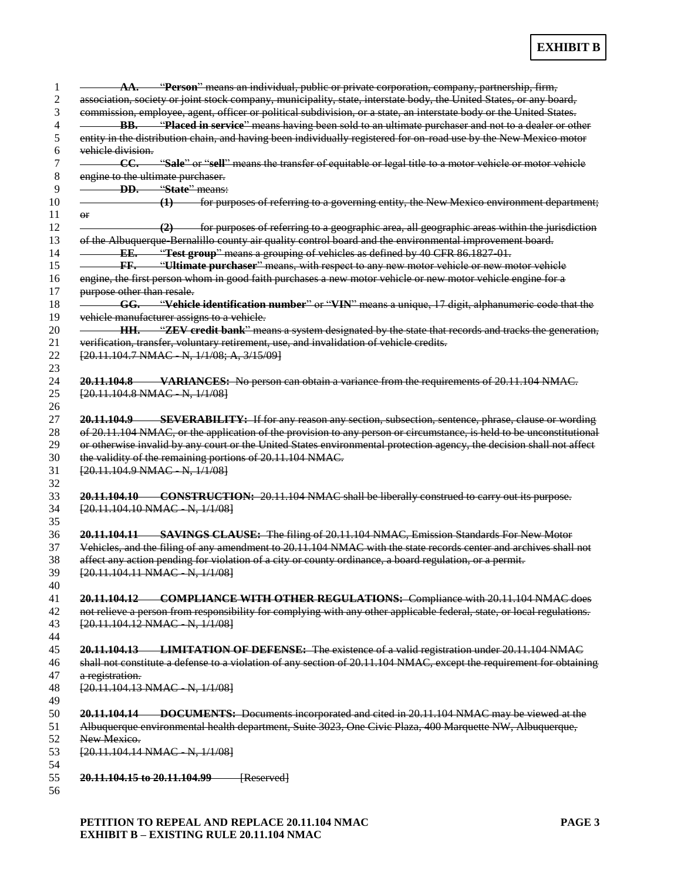|                                   | AA. "Person" means an individual, public or private corporation, company, partnership, firm,                           |
|-----------------------------------|------------------------------------------------------------------------------------------------------------------------|
|                                   | association, society or joint stock company, municipality, state, interstate body, the United States, or any board,    |
|                                   | commission, employee, agent, officer or political subdivision, or a state, an interstate body or the United States.    |
|                                   | <b>BB.</b> "Placed in service" means having been sold to an ultimate purchaser and not to a dealer or other            |
|                                   | entity in the distribution chain, and having been individually registered for on-road use by the New Mexico motor      |
| vehicle division.                 |                                                                                                                        |
| -CC.                              |                                                                                                                        |
|                                   | "Sale" or "sell" means the transfer of equitable or legal title to a motor vehicle or motor vehicle                    |
|                                   | engine to the ultimate purchaser.<br><b>DD.</b> "State" means:                                                         |
|                                   |                                                                                                                        |
|                                   | (1) for purposes of referring to a governing entity, the New Mexico environment department;                            |
| ΘF                                |                                                                                                                        |
|                                   | (2) for purposes of referring to a geographic area, all geographic areas within the jurisdiction                       |
|                                   | of the Albuquerque Bernalillo county air quality control board and the environmental improvement board.                |
|                                   | <b>EE.</b> "Test group" means a grouping of vehicles as defined by 40 CFR 86.1827 01.                                  |
|                                   | FF. "Ultimate purchaser" means, with respect to any new motor vehicle or new motor vehicle                             |
|                                   | engine, the first person whom in good faith purchases a new motor vehicle or new motor vehicle engine for a            |
| purpose other than resale.        |                                                                                                                        |
|                                   | <b>GG.</b> "Vehicle identification number" or "VIN" means a unique, 17 digit, alphanumeric code that the               |
|                                   | vehicle manufacturer assigns to a vehicle.                                                                             |
|                                   | HH. "ZEV credit bank" means a system designated by the state that records and tracks the generation,                   |
|                                   | verification, transfer, voluntary retirement, use, and invalidation of vehicle credits.                                |
|                                   | [20.11.104.7 NMAC N, 1/1/08; A, 3/15/09]                                                                               |
|                                   |                                                                                                                        |
|                                   | <b>20.11.104.8</b> VARIANCES: No person can obtain a variance from the requirements of 20.11.104 NMAC.                 |
|                                   | [20.11.104.8 NMAC N, 1/1/08]                                                                                           |
|                                   |                                                                                                                        |
|                                   |                                                                                                                        |
|                                   | 20.11.104.9 SEVERABILITY: If for any reason any section, subsection, sentence, phrase, clause or wording               |
|                                   | of 20.11.104 NMAC, or the application of the provision to any person or circumstance, is held to be unconstitutional   |
|                                   | or otherwise invalid by any court or the United States environmental protection agency, the decision shall not affect  |
|                                   | the validity of the remaining portions of 20.11.104 NMAC.                                                              |
|                                   | [20.11.104.9 NMAC N, 1/1/08]                                                                                           |
|                                   |                                                                                                                        |
|                                   | 20.11.104.10 CONSTRUCTION: 20.11.104 NMAC shall be liberally construed to carry out its purpose.                       |
|                                   | [20.11.104.10 NMAC N, 1/1/08]                                                                                          |
|                                   |                                                                                                                        |
|                                   | 20.11.104.11 SAVINGS CLAUSE: The filing of 20.11.104 NMAC, Emission Standards For New Motor                            |
|                                   | Vehicles, and the filing of any amendment to 20.11.104 NMAC with the state records center and archives shall not       |
|                                   | affect any action pending for violation of a city or county ordinance, a board regulation, or a permit.                |
|                                   | [20.11.104.11 NMAC N, 1/1/08]                                                                                          |
|                                   |                                                                                                                        |
|                                   | 20.11.104.12 COMPLIANCE WITH OTHER REGULATIONS: Compliance with 20.11.104 NMAC does                                    |
|                                   | not relieve a person from responsibility for complying with any other applicable federal, state, or local regulations. |
|                                   | [20.11.104.12 NMAC N, 1/1/08]                                                                                          |
|                                   |                                                                                                                        |
|                                   | 20.11.104.13 LIMITATION OF DEFENSE: The existence of a valid registration under 20.11.104 NMAC                         |
|                                   | shall not constitute a defense to a violation of any section of 20.11.104 NMAC, except the requirement for obtaining   |
|                                   |                                                                                                                        |
|                                   |                                                                                                                        |
| a registration.                   |                                                                                                                        |
| $[20.11.104.13 NMAC - N, 1/1/08]$ |                                                                                                                        |
|                                   |                                                                                                                        |
|                                   | <b>20.11.104.14</b> DOCUMENTS: Documents incorporated and cited in 20.11.104 NMAC may be viewed at the                 |
|                                   | Albuquerque environmental health department, Suite 3023, One Civic Plaza, 400 Marquette NW, Albuquerque,               |
| New Mexico.                       |                                                                                                                        |
|                                   | $[20.11.104.14 NMAC-N, 1/1/08]$                                                                                        |
|                                   |                                                                                                                        |
| 20.11.104.15 to 20.11.104.99      | [Reserved]                                                                                                             |

**PETITION TO REPEAL AND REPLACE 20.11.104 NMAC PAGE 3 EXHIBIT B – EXISTING RULE 20.11.104 NMAC**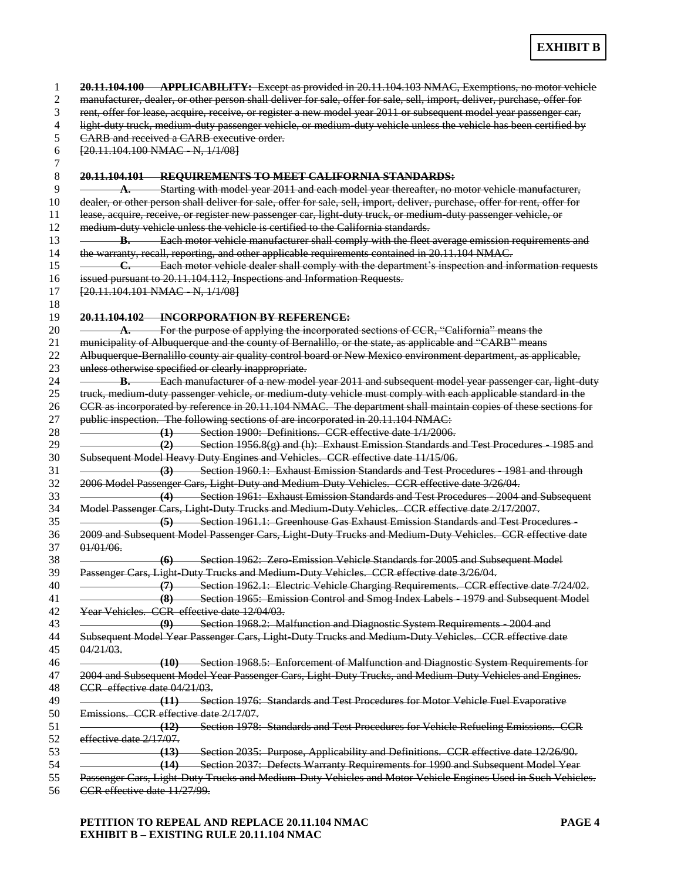|                              | 20.11.104.100 APPLICABILITY: Except as provided in 20.11.104.103 NMAC, Exemptions, no motor vehicle                                                                                                                                                                                                                                                                          |
|------------------------------|------------------------------------------------------------------------------------------------------------------------------------------------------------------------------------------------------------------------------------------------------------------------------------------------------------------------------------------------------------------------------|
|                              | manufacturer, dealer, or other person shall deliver for sale, offer for sale, sell, import, deliver, purchase, offer for                                                                                                                                                                                                                                                     |
|                              | rent, offer for lease, acquire, receive, or register a new model year 2011 or subsequent model year passenger car,                                                                                                                                                                                                                                                           |
|                              | light duty truck, medium duty passenger vehicle, or medium duty vehicle unless the vehicle has been certified by                                                                                                                                                                                                                                                             |
|                              | CARB and received a CARB executive order.                                                                                                                                                                                                                                                                                                                                    |
|                              | $[20.11.104.100 NMAC$ N, $1/1/08]$                                                                                                                                                                                                                                                                                                                                           |
|                              | 20.11.104.101 REQUIREMENTS TO MEET CALIFORNIA STANDARDS:                                                                                                                                                                                                                                                                                                                     |
|                              | A. Starting with model year 2011 and each model year thereafter, no motor vehicle manufacturer,                                                                                                                                                                                                                                                                              |
|                              | dealer, or other person shall deliver for sale, offer for sale, sell, import, deliver, purchase, offer for rent, offer for                                                                                                                                                                                                                                                   |
|                              | lease, acquire, receive, or register new passenger car, light-duty truck, or medium-duty passenger vehicle, or                                                                                                                                                                                                                                                               |
|                              | medium duty vehicle unless the vehicle is certified to the California standards.                                                                                                                                                                                                                                                                                             |
|                              | <b>B.</b> Each motor vehicle manufacturer shall comply with the fleet average emission requirements and                                                                                                                                                                                                                                                                      |
|                              | the warranty, recall, reporting, and other applicable requirements contained in 20.11.104 NMAC.                                                                                                                                                                                                                                                                              |
|                              | C. Each motor vehicle dealer shall comply with the department's inspection and information requests                                                                                                                                                                                                                                                                          |
|                              | issued pursuant to 20.11.104.112, Inspections and Information Requests.                                                                                                                                                                                                                                                                                                      |
|                              | [20.11.104.101 NMAC N, 1/1/08]                                                                                                                                                                                                                                                                                                                                               |
|                              | 20.11.104.102 INCORPORATION BY REFERENCE:                                                                                                                                                                                                                                                                                                                                    |
|                              | A. For the purpose of applying the incorporated sections of CCR, "California" means the                                                                                                                                                                                                                                                                                      |
|                              | municipality of Albuquerque and the county of Bernalillo, or the state, as applicable and "CARB" means                                                                                                                                                                                                                                                                       |
|                              | Albuquerque Bernalillo county air quality control board or New Mexico environment department, as applicable,                                                                                                                                                                                                                                                                 |
|                              | unless otherwise specified or clearly inappropriate.                                                                                                                                                                                                                                                                                                                         |
|                              | <b>B.</b> Each manufacturer of a new model year 2011 and subsequent model year passenger car, light duty                                                                                                                                                                                                                                                                     |
|                              | truck, medium duty passenger vehicle, or medium duty vehicle must comply with each applicable standard in the                                                                                                                                                                                                                                                                |
|                              | CCR as incorporated by reference in 20.11.104 NMAC. The department shall maintain copies of these sections for                                                                                                                                                                                                                                                               |
|                              | public inspection. The following sections of are incorporated in 20.11.104 NMAC:                                                                                                                                                                                                                                                                                             |
|                              | (1) Section 1900: Definitions. CCR effective date 1/1/2006.                                                                                                                                                                                                                                                                                                                  |
|                              | $(2)$ Section 1956.8(g) and (h): Exhaust Emission Standards and Test Procedures 1985 and                                                                                                                                                                                                                                                                                     |
|                              | Subsequent Model Heavy Duty Engines and Vehicles. CCR effective date 11/15/06.                                                                                                                                                                                                                                                                                               |
|                              | (3) Section 1960.1: Exhaust Emission Standards and Test Procedures 1981 and through                                                                                                                                                                                                                                                                                          |
|                              | 2006 Model Passenger Cars, Light-Duty and Medium-Duty Vehicles. CCR effective date 3/26/04.                                                                                                                                                                                                                                                                                  |
|                              | (4) Section 1961: Exhaust Emission Standards and Test Procedures 2004 and Subsequent                                                                                                                                                                                                                                                                                         |
|                              | Model Passenger Cars, Light Duty Trucks and Medium Duty Vehicles. CCR effective date 2/17/2007.                                                                                                                                                                                                                                                                              |
|                              | (5) Section 1961.1: Greenhouse Gas Exhaust Emission Standards and Test Procedures                                                                                                                                                                                                                                                                                            |
|                              | 2009 and Subsequent Model Passenger Cars, Light Duty Trucks and Medium Duty Vehicles. CCR effective date                                                                                                                                                                                                                                                                     |
| $01/01/06$ .                 |                                                                                                                                                                                                                                                                                                                                                                              |
|                              | <b>Section 1962: Zero-Emission Vehicle Standards for 2005 and Subsequent Model</b><br>(6)                                                                                                                                                                                                                                                                                    |
|                              | Passenger Cars, Light Duty Trucks and Medium Duty Vehicles. CCR effective date 3/26/04.                                                                                                                                                                                                                                                                                      |
|                              | Section 1962.1: Electric Vehicle Charging Requirements. CCR effective date 7/24/02.                                                                                                                                                                                                                                                                                          |
|                              | (7)                                                                                                                                                                                                                                                                                                                                                                          |
|                              | (8)                                                                                                                                                                                                                                                                                                                                                                          |
|                              | Year Vehicles. CCR effective date 12/04/03.                                                                                                                                                                                                                                                                                                                                  |
|                              | (9) Section 1968.2: Malfunction and Diagnostic System Requirements 2004 and                                                                                                                                                                                                                                                                                                  |
|                              | Subsequent Model Year Passenger Cars, Light-Duty Trucks and Medium-Duty Vehicles. CCR effective date                                                                                                                                                                                                                                                                         |
|                              |                                                                                                                                                                                                                                                                                                                                                                              |
|                              |                                                                                                                                                                                                                                                                                                                                                                              |
|                              |                                                                                                                                                                                                                                                                                                                                                                              |
| CCR effective date 04/21/03. |                                                                                                                                                                                                                                                                                                                                                                              |
| $04/21/03$ .                 | (11) Section 1976: Standards and Test Procedures for Motor Vehicle Fuel Evaporative                                                                                                                                                                                                                                                                                          |
|                              | Emissions. CCR effective date 2/17/07.                                                                                                                                                                                                                                                                                                                                       |
|                              | Section 1965: Emission Control and Smog Index Labels 1979 and Subsequent Model<br>(10) Section 1968.5: Enforcement of Malfunction and Diagnostic System Requirements for<br>2004 and Subsequent Model Year Passenger Cars, Light Duty Trucks, and Medium Duty Vehicles and Engines.<br>(12) Section 1978: Standards and Test Procedures for Vehicle Refueling Emissions. CCR |
|                              |                                                                                                                                                                                                                                                                                                                                                                              |
| effective date 2/17/07.      | (13) Section 2035: Purpose, Applicability and Definitions. CCR effective date 12/26/90.                                                                                                                                                                                                                                                                                      |

CCR effective date 11/27/99.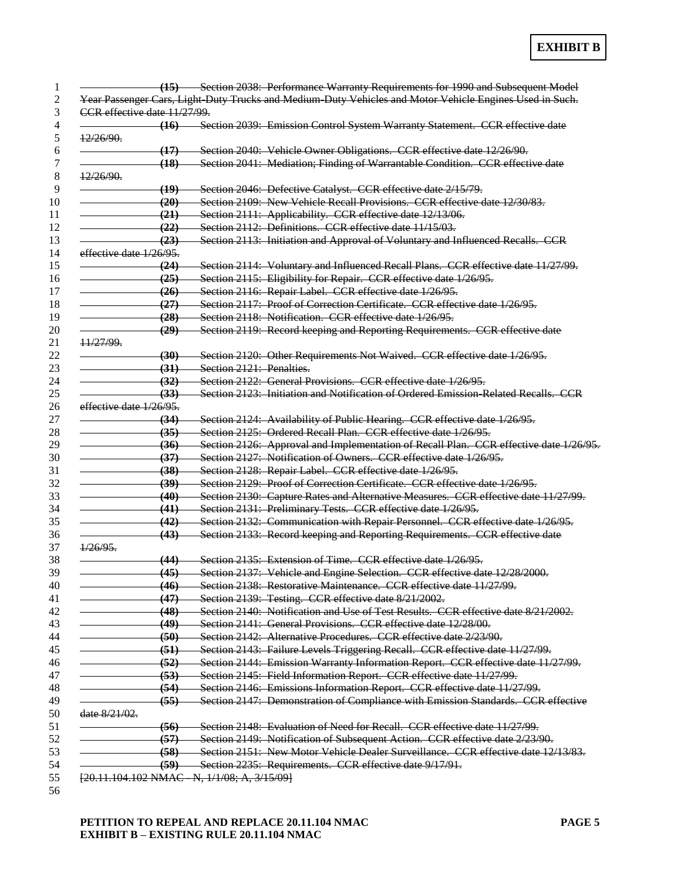|                              | (15) Section 2038: Performance Warranty Requirements for 1990 and Subsequent Model                                         |  |
|------------------------------|----------------------------------------------------------------------------------------------------------------------------|--|
|                              | Year Passenger Cars, Light Duty Trucks and Medium Duty Vehicles and Motor Vehicle Engines Used in Such.                    |  |
| CCR effective date 11/27/99. |                                                                                                                            |  |
|                              | (16) Section 2039: Emission Control System Warranty Statement. CCR effective date                                          |  |
| 12/26/90.                    |                                                                                                                            |  |
|                              | Section 2040: Vehicle Owner Obligations. CCR effective date 12/26/90.<br><del>(17)</del>                                   |  |
|                              | Section 2041: Mediation; Finding of Warrantable Condition. CCR effective date<br>(18)                                      |  |
| 12/26/90.                    |                                                                                                                            |  |
|                              | <u>(19)</u><br>Section 2046: Defective Catalyst. CCR effective date 2/15/79.                                               |  |
|                              | Section 2109: New Vehicle Recall Provisions. CCR effective date 12/30/83.<br>(20)                                          |  |
|                              | (21)                                                                                                                       |  |
|                              | Section 2111: Applicability. CCR effective date 12/13/06.<br>Section $2112$ : Definitions, CCR effective date $11/15/03$ . |  |
|                              | (22)                                                                                                                       |  |
|                              | Section 2113: Initiation and Approval of Voluntary and Influenced Recalls. CCR<br>(23)                                     |  |
| effective date 1/26/95.      |                                                                                                                            |  |
|                              | Section 2114: Voluntary and Influenced Recall Plans. CCR effective date 11/27/99.<br>(24)                                  |  |
|                              | Section 2115: Eligibility for Repair. CCR effective date 1/26/95.<br>(25)                                                  |  |
|                              | Section 2116: Repair Label. CCR effective date 1/26/95.<br>(26)                                                            |  |
|                              | Section 2117: Proof of Correction Certificate. CCR effective date 1/26/95.<br>(27)                                         |  |
|                              | Section 2118: Notification. CCR effective date 1/26/95.<br>(28)                                                            |  |
|                              | (29)<br>Section 2119: Record keeping and Reporting Requirements. CCR effective date                                        |  |
| 11/27/99.                    |                                                                                                                            |  |
|                              | (30)<br>Section 2120: Other Requirements Not Waived. CCR effective date 1/26/95.                                           |  |
|                              | Section 2121: Penalties.<br><del>(31)</del>                                                                                |  |
|                              | Section 2122: General Provisions. CCR effective date 1/26/95.<br>(32)                                                      |  |
|                              | Section 2123: Initiation and Notification of Ordered Emission Related Recalls. CCR<br>(33)                                 |  |
| effective date 1/26/95.      |                                                                                                                            |  |
|                              | (34)<br>Section 2124: Availability of Public Hearing. CCR effective date 1/26/95.                                          |  |
|                              | Section 2125: Ordered Recall Plan. CCR effective date 1/26/95.<br>(35)                                                     |  |
|                              | Section 2126: Approval and Implementation of Recall Plan. CCR effective date 1/26/95.<br>$\left( 36\right)$                |  |
|                              | Section 2127: Notification of Owners. CCR effective date 1/26/95.<br>(37)                                                  |  |
|                              | Section 2128: Repair Label. CCR effective date 1/26/95.<br>(38)                                                            |  |
|                              | Section 2129: Proof of Correction Certificate. CCR effective date 1/26/95.<br>(39)                                         |  |
|                              | Section 2130: Capture Rates and Alternative Measures. CCR effective date 11/27/99.<br>(40)                                 |  |
|                              | Section 2131: Preliminary Tests. CCR effective date 1/26/95.<br><del>(41)</del>                                            |  |
|                              | Section 2132: Communication with Repair Personnel. CCR effective date 1/26/95.                                             |  |
|                              | (42)                                                                                                                       |  |
| $1/26/95$ .                  | Section 2133: Record keeping and Reporting Requirements. CCR effective date<br>(43)                                        |  |
|                              |                                                                                                                            |  |
|                              | Section 2135: Extension of Time. CCR effective date 1/26/95.<br>(44)                                                       |  |
|                              | Section 2137: Vehicle and Engine Selection. CCR effective date 12/28/2000.<br>(45)                                         |  |
|                              | Section 2138: Restorative Maintenance. CCR effective date 11/27/99.<br>(46)                                                |  |
|                              | (47)<br>Section 2139: Testing. CCR effective date 8/21/2002.                                                               |  |
|                              | (48)<br>Section 2140: Notification and Use of Test Results. CCR effective date 8/21/2002.                                  |  |
|                              | (49)<br>Section 2141: General Provisions. CCR effective date 12/28/00.                                                     |  |
|                              | Section 2142: Alternative Procedures. CCR effective date 2/23/90.<br>(50)                                                  |  |
|                              | Section 2143: Failure Levels Triggering Recall. CCR effective date 11/27/99.<br>(51)                                       |  |
|                              | Section 2144: Emission Warranty Information Report. CCR effective date 11/27/99.<br>(52)                                   |  |
|                              | Section 2145: Field Information Report. CCR effective date 11/27/99.<br>(53)                                               |  |
|                              | Section 2146: Emissions Information Report. CCR effective date 11/27/99.<br>(54)                                           |  |
|                              | Section 2147: Demonstration of Compliance with Emission Standards. CCR effective<br>(55)                                   |  |
| date 8/21/02.                |                                                                                                                            |  |
|                              | Section 2148: Evaluation of Need for Recall. CCR effective date 11/27/99.<br>(56)                                          |  |
|                              | Section 2149: Notification of Subsequent Action. CCR effective date 2/23/90.<br>(57)                                       |  |
|                              | Section 2151: New Motor Vehicle Dealer Surveillance. CCR effective date 12/13/83.<br>(58)                                  |  |
|                              | (59)<br>Section 2235: Requirements. CCR effective date 9/17/91.                                                            |  |
|                              |                                                                                                                            |  |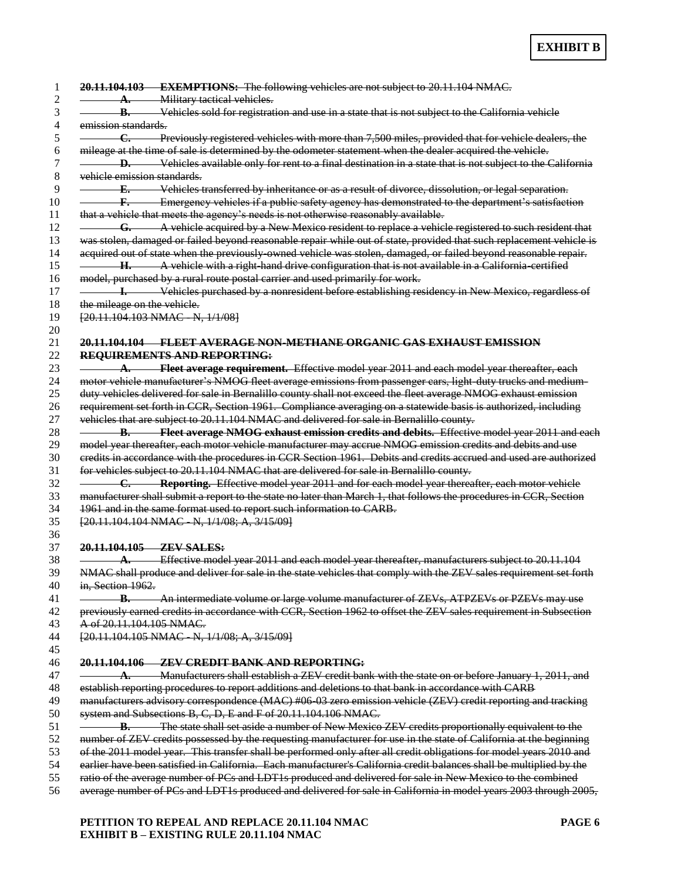|                             | A. Military tactical vehicles.                                                                                       |
|-----------------------------|----------------------------------------------------------------------------------------------------------------------|
|                             | <b>B.</b> Vehicles sold for registration and use in a state that is not subject to the California vehicle            |
| emission standards.         |                                                                                                                      |
| <del>C.</del>               | Previously registered vehicles with more than 7,500 miles, provided that for vehicle dealers, the                    |
|                             | mileage at the time of sale is determined by the odometer statement when the dealer acquired the vehicle.            |
|                             | <b>D.</b> Vehicles available only for rent to a final destination in a state that is not subject to the California   |
| vehicle emission standards. |                                                                                                                      |
|                             | <b>E.</b> Vehicles transferred by inheritance or as a result of divorce, dissolution, or legal separation.           |
|                             | <b>Example 12</b> Emergency vehicles if a public safety agency has demonstrated to the department's satisfaction     |
|                             | that a vehicle that meets the agency's needs is not otherwise reasonably available.                                  |
|                             | G. A vehicle acquired by a New Mexico resident to replace a vehicle registered to such resident that                 |
|                             | was stolen, damaged or failed beyond reasonable repair while out of state, provided that such replacement vehicle is |
|                             | acquired out of state when the previously owned vehicle was stolen, damaged, or failed beyond reasonable repair.     |
|                             | H. A vehicle with a right hand drive configuration that is not available in a California certified                   |
|                             | model, purchased by a rural route postal carrier and used primarily for work.                                        |
|                             |                                                                                                                      |
|                             | <b>1.</b> Vehicles purchased by a nonresident before establishing residency in New Mexico, regardless of             |
| the mileage on the vehicle. |                                                                                                                      |
|                             | [20.11.104.103 NMAC N, 1/1/08]                                                                                       |
|                             |                                                                                                                      |
|                             | <u> 20.11.104.104       FLEET AVERAGE NON-METHANE ORGANIC GAS EXHAUST EMISSION</u>                                   |
|                             | <b>REQUIREMENTS AND REPORTING:</b>                                                                                   |
|                             | A. Fleet average requirement. Effective model year 2011 and each model year thereafter, each                         |
|                             | motor vehicle manufacturer's NMOG fleet average emissions from passenger cars, light duty trucks and medium-         |
|                             | duty vehicles delivered for sale in Bernalillo county shall not exceed the fleet average NMOG exhaust emission       |
|                             | requirement set forth in CCR, Section 1961. Compliance averaging on a statewide basis is authorized, including       |
|                             | vehicles that are subject to 20.11.104 NMAC and delivered for sale in Bernalillo county.                             |
|                             | <b>B.</b> Fleet average NMOG exhaust emission credits and debits. Effective model year 2011 and each                 |
|                             | model year thereafter, each motor vehicle manufacturer may accrue NMOG emission credits and debits and use           |
|                             | credits in accordance with the procedures in CCR Section 1961. Debits and credits accrued and used are authorized    |
|                             | for vehicles subject to 20.11.104 NMAC that are delivered for sale in Bernalillo county.                             |
|                             | <b>C.</b> Reporting. Effective model year 2011 and for each model year thereafter, each motor vehicle                |
|                             | manufacturer shall submit a report to the state no later than March 1, that follows the procedures in CCR, Section   |
|                             | 1961 and in the same format used to report such information to CARB.                                                 |
|                             | [20.11.104.104 NMAC N, 1/1/08; A, 3/15/09]                                                                           |
|                             |                                                                                                                      |
|                             | 20.11.104.105 ZEV SALES:                                                                                             |
|                             | <b>A.</b> Effective model year 2011 and each model year thereafter, manufacturers subject to 20.11.104               |
|                             | NMAC shall produce and deliver for sale in the state vehicles that comply with the ZEV sales requirement set forth   |
| in, Section 1962.           |                                                                                                                      |
|                             | <b>B.</b> An intermediate volume or large volume manufacturer of ZEVs, ATPZEVs or PZEVs may use                      |
|                             | previously earned credits in accordance with CCR, Section 1962 to offset the ZEV sales requirement in Subsection     |
| A of 20.11.104.105 NMAC.    |                                                                                                                      |
|                             |                                                                                                                      |
|                             | [20.11.104.105 NMAC - N, 1/1/08; A, 3/15/09]                                                                         |
|                             |                                                                                                                      |
|                             | 20.11.104.106 ZEV CREDIT BANK AND REPORTING:                                                                         |
|                             | A. Manufacturers shall establish a ZEV credit bank with the state on or before January 1, 2011, and                  |
|                             | establish reporting procedures to report additions and deletions to that bank in accordance with CARB                |
|                             | manufacturers advisory correspondence (MAC) #06-03 zero emission vehicle (ZEV) credit reporting and tracking         |
|                             | system and Subsections B, C, D, E and F of 20.11.104.106 NMAC.                                                       |
|                             | <b>B.</b> The state shall set aside a number of New Mexico ZEV credits proportionally equivalent to the              |
|                             | number of ZEV credits possessed by the requesting manufacturer for use in the state of California at the beginning   |
|                             | of the 2011 model year. This transfer shall be performed only after all credit obligations for model years 2010 and  |
|                             | earlier have been satisfied in California. Each manufacturer's California credit balances shall be multiplied by the |
|                             |                                                                                                                      |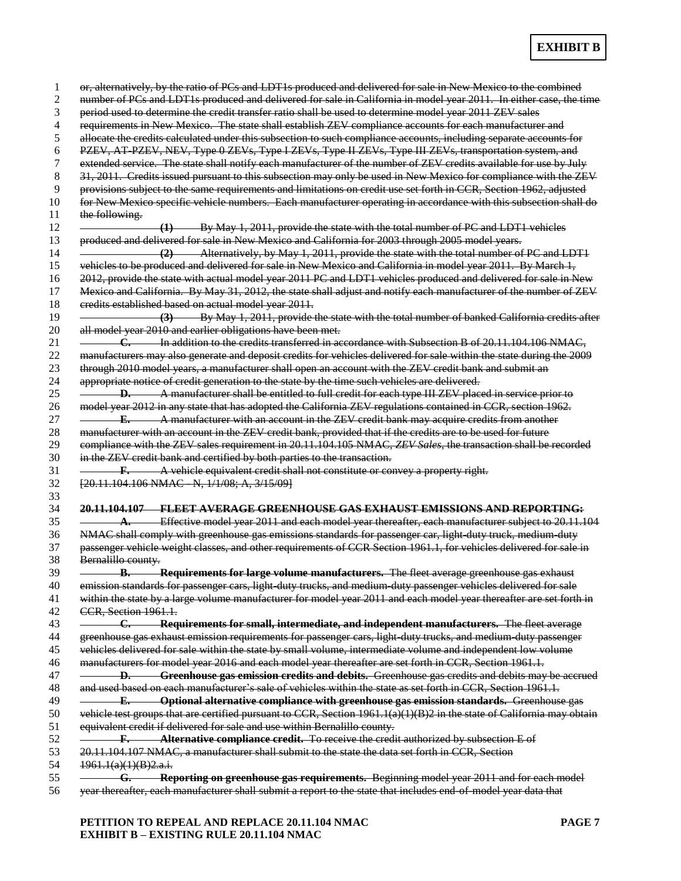|                       | or, alternatively, by the ratio of PCs and LDT1s produced and delivered for sale in New Mexico to the combined         |
|-----------------------|------------------------------------------------------------------------------------------------------------------------|
|                       | number of PCs and LDT1s produced and delivered for sale in California in model year 2011. In either case, the time     |
|                       | period used to determine the credit transfer ratio shall be used to determine model year 2011 ZEV sales                |
|                       | requirements in New Mexico. The state shall establish ZEV compliance accounts for each manufacturer and                |
|                       | allocate the credits calculated under this subsection to such compliance accounts, including separate accounts for     |
|                       | PZEV, AT PZEV, NEV, Type 0 ZEVs, Type I ZEVs, Type II ZEVs, Type III ZEVs, transportation system, and                  |
|                       | extended service. The state shall notify each manufacturer of the number of ZEV credits available for use by July      |
|                       | 31, 2011. Credits issued pursuant to this subsection may only be used in New Mexico for compliance with the ZEV        |
|                       | provisions subject to the same requirements and limitations on credit use set forth in CCR, Section 1962, adjusted     |
|                       | for New Mexico specific vehicle numbers. Each manufacturer operating in accordance with this subsection shall do       |
|                       |                                                                                                                        |
| the following.        |                                                                                                                        |
|                       | (1) By May 1, 2011, provide the state with the total number of PC and LDT1 vehicles                                    |
|                       | produced and delivered for sale in New Mexico and California for 2003 through 2005 model years.                        |
|                       | (2) Alternatively, by May 1, 2011, provide the state with the total number of PC and LDT1                              |
|                       | vehicles to be produced and delivered for sale in New Mexico and California in model year 2011. By March 1,            |
|                       | 2012, provide the state with actual model year 2011 PC and LDT1 vehicles produced and delivered for sale in New        |
|                       | Mexico and California. By May 31, 2012, the state shall adjust and notify each manufacturer of the number of ZEV       |
|                       | credits established based on actual model year 2011.                                                                   |
|                       | (3) By May 1, 2011, provide the state with the total number of banked California credits after                         |
|                       | all model year 2010 and earlier obligations have been met.                                                             |
|                       | <b>C.</b> In addition to the credits transferred in accordance with Subsection B of 20.11.104.106 NMAC.                |
|                       | manufacturers may also generate and deposit credits for vehicles delivered for sale within the state during the 2009   |
|                       |                                                                                                                        |
|                       | through 2010 model years, a manufacturer shall open an account with the ZEV credit bank and submit an                  |
|                       | appropriate notice of credit generation to the state by the time such vehicles are delivered.                          |
|                       | <b>D.</b> A manufacturer shall be entitled to full credit for each type III ZEV placed in service prior to             |
|                       | model year 2012 in any state that has adopted the California ZEV regulations contained in CCR, section 1962.           |
|                       | <b>E.</b> A manufacturer with an account in the ZEV credit bank may acquire credits from another                       |
|                       | manufacturer with an account in the ZEV credit bank, provided that if the credits are to be used for future            |
|                       | compliance with the ZEV sales requirement in 20.11.104.105 NMAC, ZEV Sales, the transaction shall be recorded          |
|                       | in the ZEV credit bank and certified by both parties to the transaction.                                               |
|                       | <b>F.</b> A vehicle equivalent credit shall not constitute or convey a property right.                                 |
|                       | [20.11.104.106 NMAC - N, 1/1/08; A, 3/15/09]                                                                           |
|                       |                                                                                                                        |
|                       | <u> 20.11.104.107 — FLEET AVERAGE GREENHOUSE GAS EXHAUST EMISSIONS AND REPORTING:</u>                                  |
|                       | A. Effective model year 2011 and each model year thereafter, each manufacturer subject to 20.11.104                    |
|                       |                                                                                                                        |
|                       | NMAC shall comply with greenhouse gas emissions standards for passenger car, light duty truck, medium duty             |
|                       | passenger vehicle weight classes, and other requirements of CCR Section 1961.1, for vehicles delivered for sale in     |
| Bernalillo county.    |                                                                                                                        |
|                       |                                                                                                                        |
|                       | <b>B.</b> Requirements for large volume manufacturers. The fleet average greenhouse gas exhaust                        |
|                       | emission standards for passenger cars, light duty trucks, and medium duty passenger vehicles delivered for sale        |
|                       | within the state by a large volume manufacturer for model year 2011 and each model year thereafter are set forth in    |
|                       |                                                                                                                        |
|                       |                                                                                                                        |
|                       | <b>C. Requirements for small, intermediate, and independent manufacturers.</b> The fleet average                       |
|                       | greenhouse gas exhaust emission requirements for passenger cars, light-duty trucks, and medium-duty passenger          |
|                       | vehicles delivered for sale within the state by small volume, intermediate volume and independent low volume           |
|                       | manufacturers for model year 2016 and each model year thereafter are set forth in CCR, Section 1961.1.                 |
| -D.—                  | Greenhouse gas emission credits and debits. Greenhouse gas credits and debits may be accrued                           |
|                       | and used based on each manufacturer's sale of vehicles within the state as set forth in CCR, Section 1961.1.           |
| <del>– E.</del>       | <b>Coptional alternative compliance with greenhouse gas emission standards.</b> Greenhouse gas                         |
| CCR, Section 1961.1.  | vehicle test groups that are certified pursuant to CCR, Section 1961.1(a)(1)(B)2 in the state of California may obtain |
|                       | equivalent credit if delivered for sale and use within Bernalillo county.                                              |
|                       | <b>F.</b> Alternative compliance credit. To receive the credit authorized by subsection E of                           |
|                       | 20.11.104.107 NMAC, a manufacturer shall submit to the state the data set forth in CCR, Section                        |
|                       |                                                                                                                        |
| 1961.1(a)(1)(B)2.a.i. | <b>G.</b> Reporting on greenhouse gas requirements. Beginning model year 2011 and for each model                       |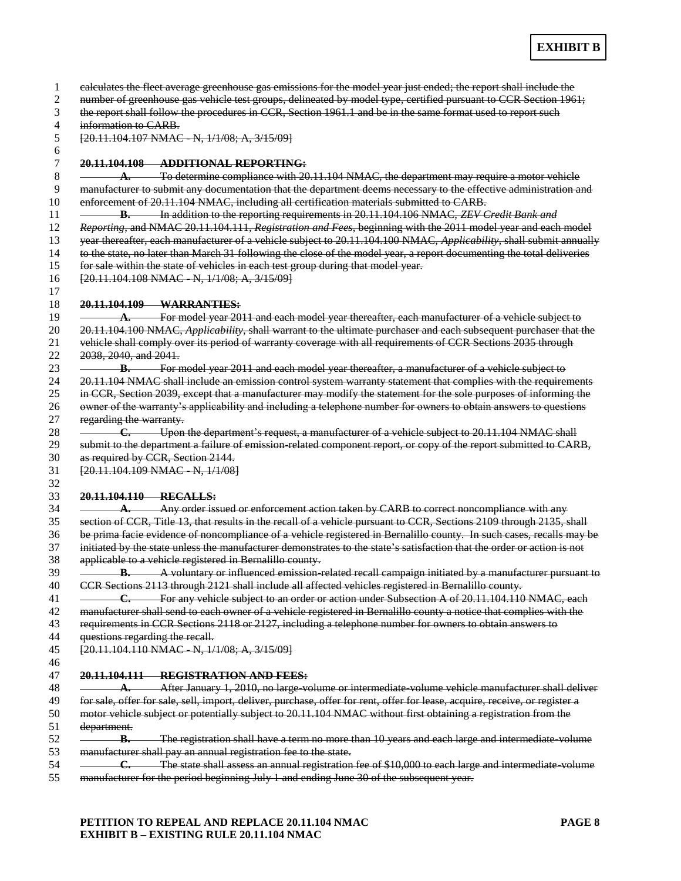|                                 | calculates the fleet average greenhouse gas emissions for the model year just ended; the report shall include the                                                                                                              |
|---------------------------------|--------------------------------------------------------------------------------------------------------------------------------------------------------------------------------------------------------------------------------|
|                                 | number of greenhouse gas vehicle test groups, delineated by model type, certified pursuant to CCR Section 1961;<br>the report shall follow the procedures in CCR, Section 1961.1 and be in the same format used to report such |
| information to CARB.            |                                                                                                                                                                                                                                |
|                                 |                                                                                                                                                                                                                                |
|                                 | $[20.11.104.107 NMAC - N, 1/1/08; A, 3/15/09]$                                                                                                                                                                                 |
|                                 | 20.11.104.108 ADDITIONAL REPORTING:                                                                                                                                                                                            |
|                                 | $\Lambda$ . To determine compliance with 20.11.104 NMAC, the department may require a motor vehicle                                                                                                                            |
|                                 | manufacturer to submit any documentation that the department deems necessary to the effective administration and                                                                                                               |
|                                 | enforcement of 20.11.104 NMAC, including all certification materials submitted to CARB.                                                                                                                                        |
|                                 | <b>B.</b> In addition to the reporting requirements in 20.11.104.106 NMAC, ZEV Credit Bank and                                                                                                                                 |
|                                 | Reporting, and NMAC 20.11.104.111, Registration and Fees, beginning with the 2011 model year and each model                                                                                                                    |
|                                 | year thereafter, each manufacturer of a vehicle subject to 20.11.104.100 NMAC, Applicability, shall submit annually                                                                                                            |
|                                 | to the state, no later than March 31 following the close of the model year, a report documenting the total deliveries                                                                                                          |
|                                 | for sale within the state of vehicles in each test group during that model year.                                                                                                                                               |
|                                 | [20.11.104.108 NMAC N, 1/1/08; A, 3/15/09]                                                                                                                                                                                     |
|                                 | 20.11.104.109 WARRANTIES:                                                                                                                                                                                                      |
|                                 | A. For model year 2011 and each model year thereafter, each manufacturer of a vehicle subject to                                                                                                                               |
|                                 | 20.11.104.100 NMAC, Applicability, shall warrant to the ultimate purchaser and each subsequent purchaser that the                                                                                                              |
|                                 | vehicle shall comply over its period of warranty coverage with all requirements of CCR Sections 2035 through                                                                                                                   |
| 2038, 2040, and 2041.           |                                                                                                                                                                                                                                |
|                                 | <b>B.</b> For model year 2011 and each model year thereafter, a manufacturer of a vehicle subject to                                                                                                                           |
|                                 | 20.11.104 NMAC shall include an emission control system warranty statement that complies with the requirements                                                                                                                 |
|                                 | in CCR, Section 2039, except that a manufacturer may modify the statement for the sole purposes of informing the                                                                                                               |
|                                 | owner of the warranty's applicability and including a telephone number for owners to obtain answers to questions                                                                                                               |
| regarding the warranty.         |                                                                                                                                                                                                                                |
|                                 | <b>C.</b> Upon the department's request, a manufacturer of a vehicle subject to 20.11.104 NMAC shall                                                                                                                           |
|                                 | submit to the department a failure of emission related component report, or copy of the report submitted to CARB,                                                                                                              |
|                                 | as required by CCR, Section 2144.                                                                                                                                                                                              |
|                                 | [20.11.104.109 NMAC N, 1/1/08]                                                                                                                                                                                                 |
|                                 |                                                                                                                                                                                                                                |
|                                 | 20.11.104.110 RECALLS:                                                                                                                                                                                                         |
|                                 | A. Any order issued or enforcement action taken by CARB to correct noncompliance with any                                                                                                                                      |
|                                 | section of CCR, Title 13, that results in the recall of a vehicle pursuant to CCR, Sections 2109 through 2135, shall                                                                                                           |
|                                 | be prima facie evidence of noncompliance of a vehicle registered in Bernalillo county. In such cases, recalls may be                                                                                                           |
|                                 | initiated by the state unless the manufacturer demonstrates to the state's satisfaction that the order or action is not                                                                                                        |
|                                 | applicable to a vehicle registered in Bernalillo county.                                                                                                                                                                       |
|                                 | <b>B.</b> A voluntary or influenced emission related recall campaign initiated by a manufacturer pursuant to                                                                                                                   |
|                                 | CCR Sections 2113 through 2121 shall include all affected vehicles registered in Bernalillo county.                                                                                                                            |
|                                 | For any vehicle subject to an order or action under Subsection A of 20.11.104.110 NMAC, each                                                                                                                                   |
|                                 | manufacturer shall send to each owner of a vehicle registered in Bernalillo county a notice that complies with the                                                                                                             |
|                                 | requirements in CCR Sections 2118 or 2127, including a telephone number for owners to obtain answers to                                                                                                                        |
| questions regarding the recall. |                                                                                                                                                                                                                                |
|                                 | [20.11.104.110 NMAC N, 1/1/08; A, 3/15/09]                                                                                                                                                                                     |
|                                 |                                                                                                                                                                                                                                |
|                                 | 20.11.104.111 REGISTRATION AND FEES:                                                                                                                                                                                           |
| A.                              | After January 1, 2010, no large-volume or intermediate-volume vehicle manufacturer shall deliver                                                                                                                               |
|                                 | for sale, offer for sale, sell, import, deliver, purchase, offer for rent, offer for lease, acquire, receive, or register a                                                                                                    |
|                                 | motor vehicle subject or potentially subject to 20.11.104 NMAC without first obtaining a registration from the                                                                                                                 |
|                                 |                                                                                                                                                                                                                                |
| department.                     | The registration shall have a term no more than 10 years and each large and intermediate volume                                                                                                                                |
| -B.                             |                                                                                                                                                                                                                                |
|                                 | manufacturer shall pay an annual registration fee to the state.                                                                                                                                                                |